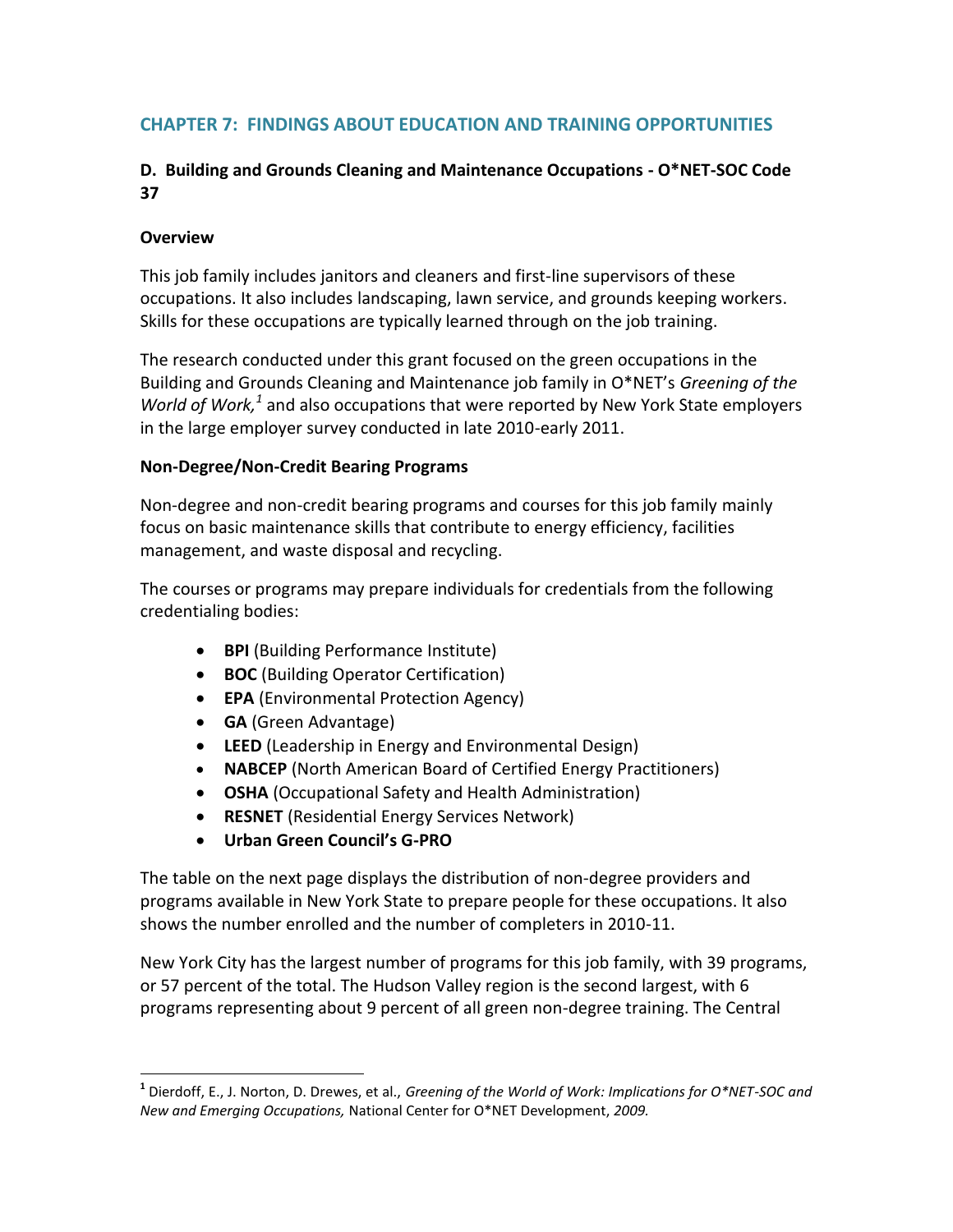# **CHAPTER 7: FINDINGS ABOUT EDUCATION AND TRAINING OPPORTUNITIES**

## **D. Building and Grounds Cleaning and Maintenance Occupations - O\*NET-SOC Code 37**

### **Overview**

l

This job family includes janitors and cleaners and first-line supervisors of these occupations. It also includes landscaping, lawn service, and grounds keeping workers. Skills for these occupations are typically learned through on the job training.

The research conducted under this grant focused on the green occupations in the Building and Grounds Cleaning and Maintenance job family in O\*NET's *Greening of the*  World of Work,<sup>1</sup> and also occupations that were reported by New York State employers in the large employer survey conducted in late 2010-early 2011.

#### **Non-Degree/Non-Credit Bearing Programs**

Non-degree and non-credit bearing programs and courses for this job family mainly focus on basic maintenance skills that contribute to energy efficiency, facilities management, and waste disposal and recycling.

The courses or programs may prepare individuals for credentials from the following credentialing bodies:

- **BPI** (Building Performance Institute)
- **BOC** (Building Operator Certification)
- **EPA** (Environmental Protection Agency)
- **GA** (Green Advantage)
- **LEED** (Leadership in Energy and Environmental Design)
- **NABCEP** (North American Board of Certified Energy Practitioners)
- **OSHA** (Occupational Safety and Health Administration)
- **RESNET** (Residential Energy Services Network)
- **Urban Green Council's G-PRO**

The table on the next page displays the distribution of non-degree providers and programs available in New York State to prepare people for these occupations. It also shows the number enrolled and the number of completers in 2010-11.

New York City has the largest number of programs for this job family, with 39 programs, or 57 percent of the total. The Hudson Valley region is the second largest, with 6 programs representing about 9 percent of all green non-degree training. The Central

**<sup>1</sup>** Dierdoff, E., J. Norton, D. Drewes, et al., *Greening of the World of Work: Implications for O\*NET-SOC and New and Emerging Occupations,* National Center for O\*NET Development, *2009.*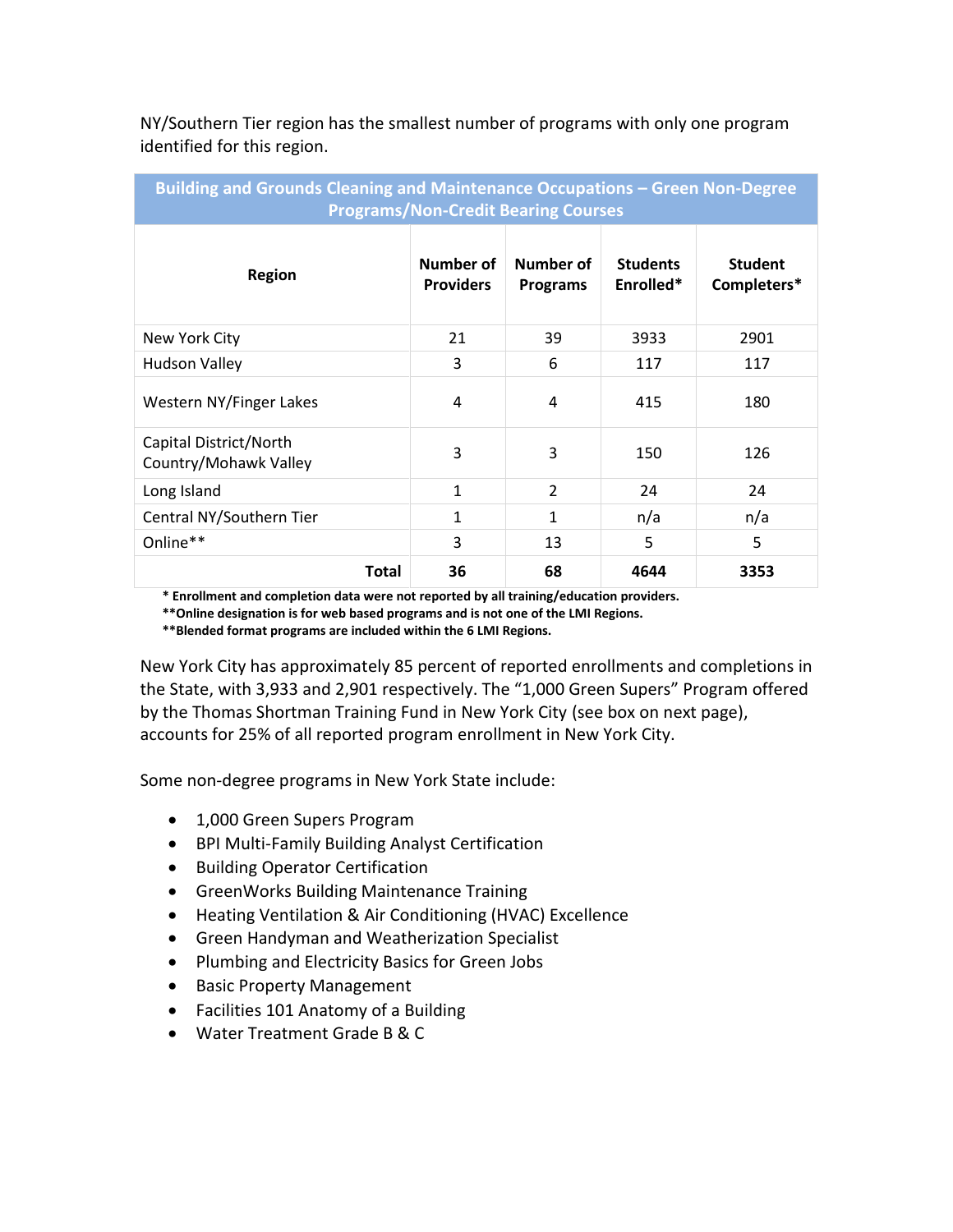| NY/Southern Tier region has the smallest number of programs with only one program |  |
|-----------------------------------------------------------------------------------|--|
| identified for this region.                                                       |  |

| <b>Building and Grounds Cleaning and Maintenance Occupations - Green Non-Degree</b><br><b>Programs/Non-Credit Bearing Courses</b> |                               |                              |                              |                               |  |  |
|-----------------------------------------------------------------------------------------------------------------------------------|-------------------------------|------------------------------|------------------------------|-------------------------------|--|--|
| <b>Region</b>                                                                                                                     | Number of<br><b>Providers</b> | Number of<br><b>Programs</b> | <b>Students</b><br>Enrolled* | <b>Student</b><br>Completers* |  |  |
| New York City                                                                                                                     | 21                            | 39                           | 3933                         | 2901                          |  |  |
| <b>Hudson Valley</b>                                                                                                              | 3                             | 6                            | 117                          | 117                           |  |  |
| Western NY/Finger Lakes                                                                                                           | 4                             | 4                            | 415                          | 180                           |  |  |
| Capital District/North<br>Country/Mohawk Valley                                                                                   | 3                             | 3                            | 150                          | 126                           |  |  |
| Long Island                                                                                                                       | $\mathbf{1}$                  | $\overline{2}$               | 24                           | 24                            |  |  |
| Central NY/Southern Tier                                                                                                          | $\mathbf{1}$                  | 1                            | n/a                          | n/a                           |  |  |
| Online**                                                                                                                          | 3                             | 13                           | 5                            | 5                             |  |  |
| <b>Total</b>                                                                                                                      | 36                            | 68                           | 4644                         | 3353                          |  |  |

 **\* Enrollment and completion data were not reported by all training/education providers.**

 **\*\*Online designation is for web based programs and is not one of the LMI Regions.**

 **\*\*Blended format programs are included within the 6 LMI Regions.**

New York City has approximately 85 percent of reported enrollments and completions in the State, with 3,933 and 2,901 respectively. The "1,000 Green Supers" Program offered by the Thomas Shortman Training Fund in New York City (see box on next page), accounts for 25% of all reported program enrollment in New York City.

Some non-degree programs in New York State include:

- 1,000 Green Supers Program
- BPI Multi-Family Building Analyst Certification
- Building Operator Certification
- **•** GreenWorks Building Maintenance Training
- Heating Ventilation & Air Conditioning (HVAC) Excellence
- Green Handyman and Weatherization Specialist
- Plumbing and Electricity Basics for Green Jobs
- Basic Property Management
- Facilities 101 Anatomy of a Building
- Water Treatment Grade B & C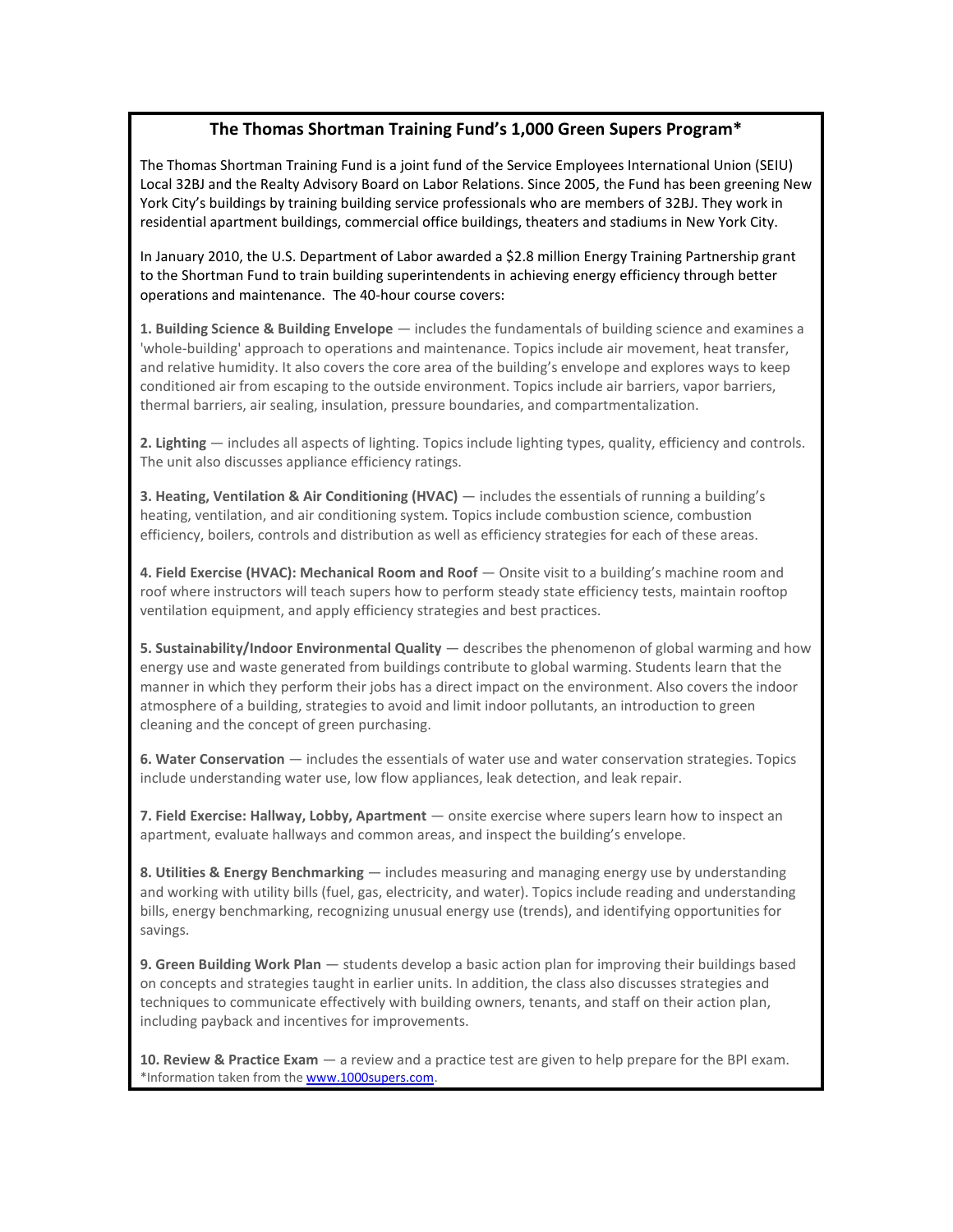#### **The Thomas Shortman Training Fund's 1,000 Green Supers Program\***

The Thomas Shortman Training Fund is a joint fund of the Service Employees International Union (SEIU) Local 32BJ and the Realty Advisory Board on Labor Relations. Since 2005, the Fund has been greening New York City's buildings by training building service professionals who are members of 32BJ. They work in residential apartment buildings, commercial office buildings, theaters and stadiums in New York City.

In January 2010, the U.S. Department of Labor awarded a \$2.8 million Energy Training Partnership grant to the Shortman Fund to train building superintendents in achieving energy efficiency through better operations and maintenance. The 40-hour course covers:

**1. Building Science & Building Envelope** — includes the fundamentals of building science and examines a 'whole-building' approach to operations and maintenance. Topics include air movement, heat transfer, and relative humidity. It also covers the core area of the building's envelope and explores ways to keep conditioned air from escaping to the outside environment. Topics include air barriers, vapor barriers, thermal barriers, air sealing, insulation, pressure boundaries, and compartmentalization.

**2. Lighting** — includes all aspects of lighting. Topics include lighting types, quality, efficiency and controls. The unit also discusses appliance efficiency ratings.

**3. Heating, Ventilation & Air Conditioning (HVAC)** — includes the essentials of running a building's heating, ventilation, and air conditioning system. Topics include combustion science, combustion efficiency, boilers, controls and distribution as well as efficiency strategies for each of these areas.

**4. Field Exercise (HVAC): Mechanical Room and Roof** — Onsite visit to a building's machine room and roof where instructors will teach supers how to perform steady state efficiency tests, maintain rooftop ventilation equipment, and apply efficiency strategies and best practices.

**5. Sustainability/Indoor Environmental Quality** — describes the phenomenon of global warming and how energy use and waste generated from buildings contribute to global warming. Students learn that the manner in which they perform their jobs has a direct impact on the environment. Also covers the indoor atmosphere of a building, strategies to avoid and limit indoor pollutants, an introduction to green cleaning and the concept of green purchasing.

**6. Water Conservation** — includes the essentials of water use and water conservation strategies. Topics include understanding water use, low flow appliances, leak detection, and leak repair.

**7. Field Exercise: Hallway, Lobby, Apartment** — onsite exercise where supers learn how to inspect an apartment, evaluate hallways and common areas, and inspect the building's envelope.

**8. Utilities & Energy Benchmarking** — includes measuring and managing energy use by understanding and working with utility bills (fuel, gas, electricity, and water). Topics include reading and understanding bills, energy benchmarking, recognizing unusual energy use (trends), and identifying opportunities for savings.

**9. Green Building Work Plan** — students develop a basic action plan for improving their buildings based on concepts and strategies taught in earlier units. In addition, the class also discusses strategies and techniques to communicate effectively with building owners, tenants, and staff on their action plan, including payback and incentives for improvements.

**10. Review & Practice Exam** — a review and a practice test are given to help prepare for the BPI exam. \*Information taken from the [www.1000supers.com.](http://www.1000supers.com/)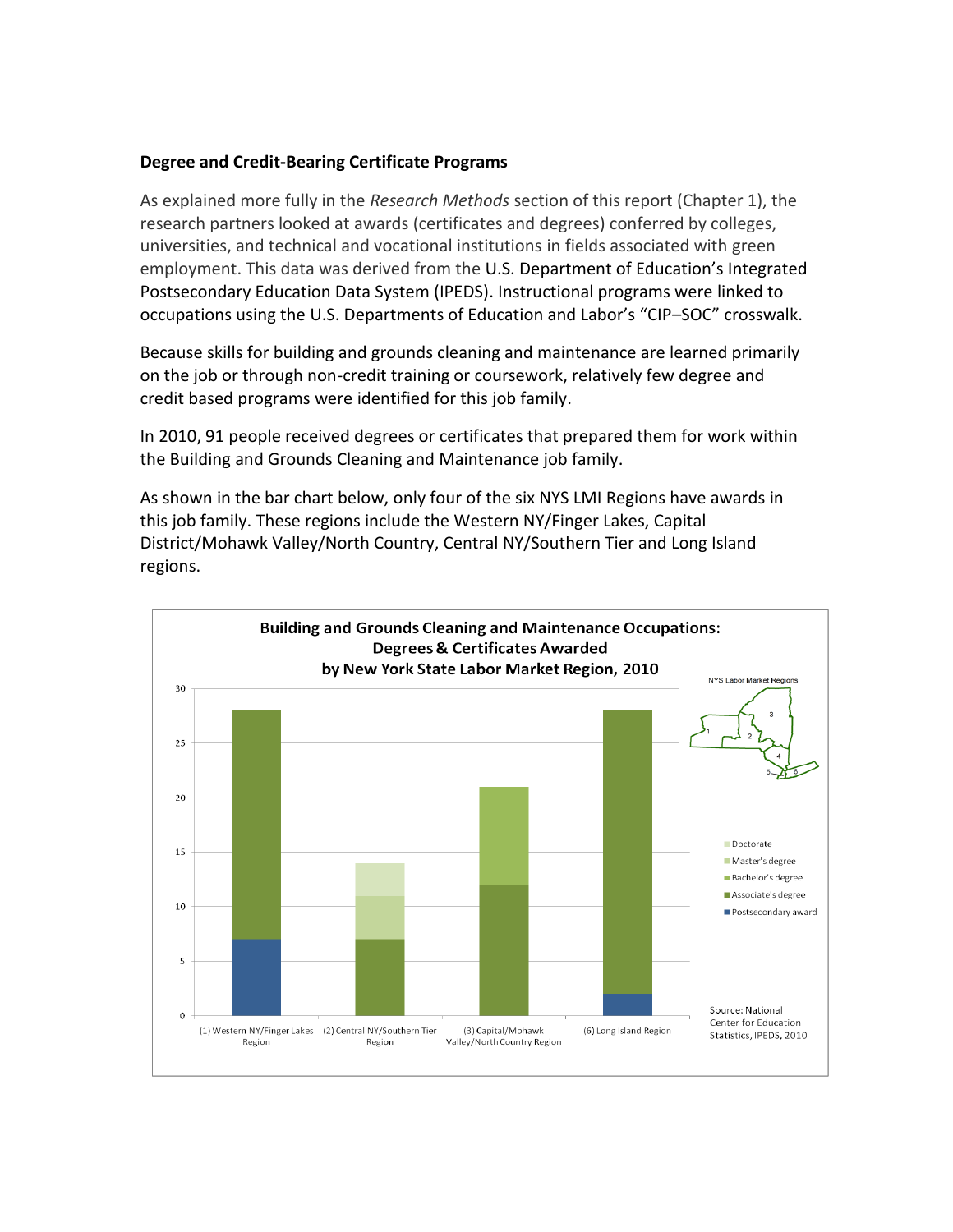#### **Degree and Credit-Bearing Certificate Programs**

As explained more fully in the *Research Methods* section of this report (Chapter 1), the research partners looked at awards (certificates and degrees) conferred by colleges, universities, and technical and vocational institutions in fields associated with green employment. This data was derived from the U.S. Department of Education's Integrated Postsecondary Education Data System (IPEDS). Instructional programs were linked to occupations using the U.S. Departments of Education and Labor's "CIP–SOC" crosswalk.

Because skills for building and grounds cleaning and maintenance are learned primarily on the job or through non-credit training or coursework, relatively few degree and credit based programs were identified for this job family.

In 2010, 91 people received degrees or certificates that prepared them for work within the Building and Grounds Cleaning and Maintenance job family.

As shown in the bar chart below, only four of the six NYS LMI Regions have awards in this job family. These regions include the Western NY/Finger Lakes, Capital District/Mohawk Valley/North Country, Central NY/Southern Tier and Long Island regions.

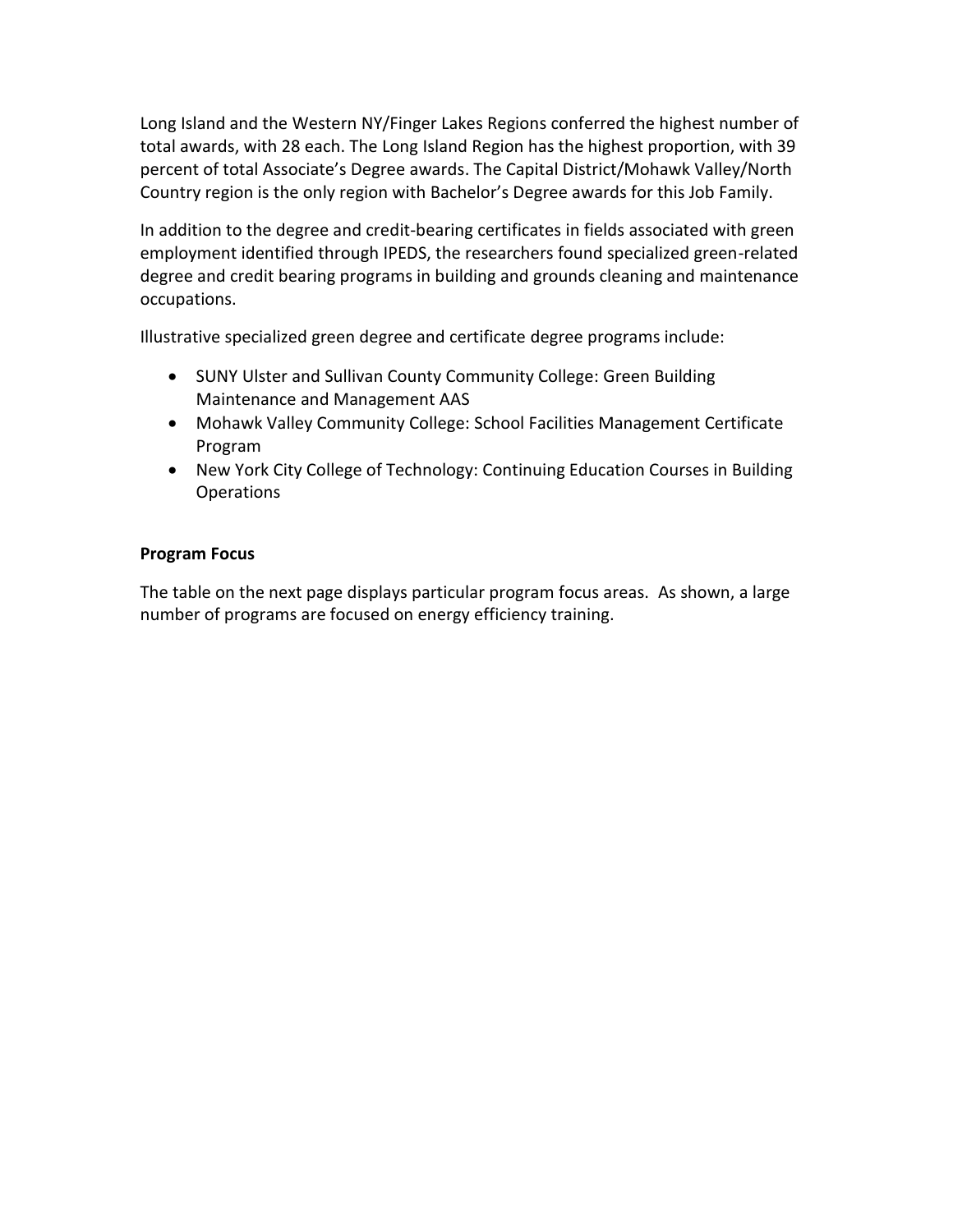Long Island and the Western NY/Finger Lakes Regions conferred the highest number of total awards, with 28 each. The Long Island Region has the highest proportion, with 39 percent of total Associate's Degree awards. The Capital District/Mohawk Valley/North Country region is the only region with Bachelor's Degree awards for this Job Family.

In addition to the degree and credit-bearing certificates in fields associated with green employment identified through IPEDS, the researchers found specialized green-related degree and credit bearing programs in building and grounds cleaning and maintenance occupations.

Illustrative specialized green degree and certificate degree programs include:

- SUNY Ulster and Sullivan County Community College: Green Building Maintenance and Management AAS
- Mohawk Valley Community College: School Facilities Management Certificate Program
- New York City College of Technology: Continuing Education Courses in Building Operations

#### **Program Focus**

The table on the next page displays particular program focus areas. As shown, a large number of programs are focused on energy efficiency training.